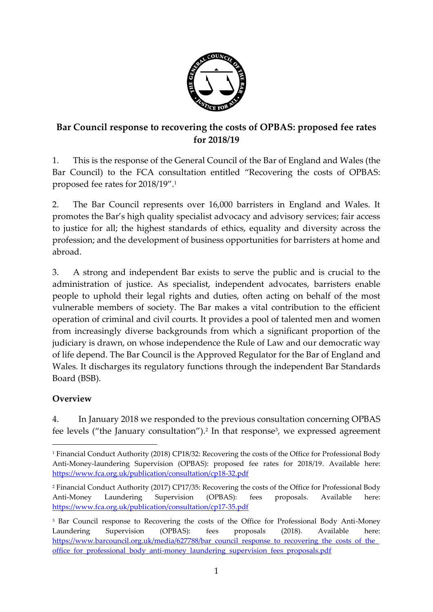

## **Bar Council response to recovering the costs of OPBAS: proposed fee rates for 2018/19**

1. This is the response of the General Council of the Bar of England and Wales (the Bar Council) to the FCA consultation entitled "Recovering the costs of OPBAS: proposed fee rates for 2018/19".<sup>1</sup>

2. The Bar Council represents over 16,000 barristers in England and Wales. It promotes the Bar's high quality specialist advocacy and advisory services; fair access to justice for all; the highest standards of ethics, equality and diversity across the profession; and the development of business opportunities for barristers at home and abroad.

3. A strong and independent Bar exists to serve the public and is crucial to the administration of justice. As specialist, independent advocates, barristers enable people to uphold their legal rights and duties, often acting on behalf of the most vulnerable members of society. The Bar makes a vital contribution to the efficient operation of criminal and civil courts. It provides a pool of talented men and women from increasingly diverse backgrounds from which a significant proportion of the judiciary is drawn, on whose independence the Rule of Law and our democratic way of life depend. The Bar Council is the Approved Regulator for the Bar of England and Wales. It discharges its regulatory functions through the independent Bar Standards Board (BSB).

## **Overview**

**.** 

4. In January 2018 we responded to the previous consultation concerning OPBAS fee levels ("the January consultation"). 2 In that response<sup>3</sup> , we expressed agreement

<sup>1</sup> Financial Conduct Authority (2018) CP18/32: Recovering the costs of the Office for Professional Body Anti-Money-laundering Supervision (OPBAS): proposed fee rates for 2018/19. Available here: <https://www.fca.org.uk/publication/consultation/cp18-32.pdf>

<sup>2</sup> Financial Conduct Authority (2017) CP17/35: Recovering the costs of the Office for Professional Body Anti-Money Laundering Supervision (OPBAS): fees proposals. Available here: <https://www.fca.org.uk/publication/consultation/cp17-35.pdf>

<sup>&</sup>lt;sup>3</sup> Bar Council response to Recovering the costs of the Office for Professional Body Anti-Money Laundering Supervision (OPBAS): fees proposals (2018). Available here: [https://www.barcouncil.org.uk/media/627788/bar\\_council\\_response\\_to\\_recovering\\_the\\_costs\\_of\\_the\\_](https://www.barcouncil.org.uk/media/627788/bar_council_response_to_recovering_the_costs_of_the_office_for_professional_body_anti-money_laundering_supervision_fees_proposals.pdf) office for professional body anti-money laundering supervision fees proposals.pdf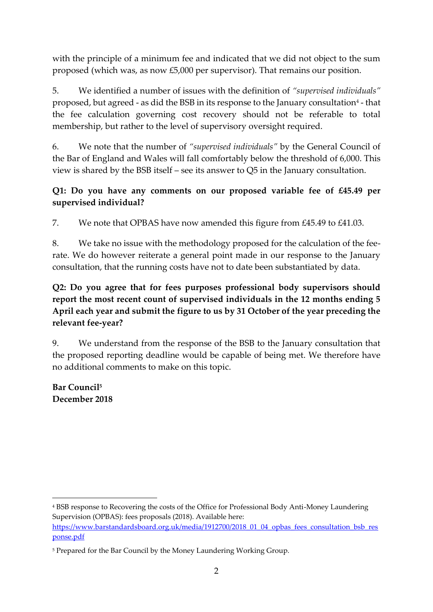with the principle of a minimum fee and indicated that we did not object to the sum proposed (which was, as now £5,000 per supervisor). That remains our position.

5. We identified a number of issues with the definition of *"supervised individuals"* proposed, but agreed - as did the BSB in its response to the January consultation<sup>4</sup> - that the fee calculation governing cost recovery should not be referable to total membership, but rather to the level of supervisory oversight required.

6. We note that the number of *"supervised individuals"* by the General Council of the Bar of England and Wales will fall comfortably below the threshold of 6,000. This view is shared by the BSB itself – see its answer to Q5 in the January consultation.

## **Q1: Do you have any comments on our proposed variable fee of £45.49 per supervised individual?**

7. We note that OPBAS have now amended this figure from £45.49 to £41.03.

8. We take no issue with the methodology proposed for the calculation of the feerate. We do however reiterate a general point made in our response to the January consultation, that the running costs have not to date been substantiated by data.

## **Q2: Do you agree that for fees purposes professional body supervisors should report the most recent count of supervised individuals in the 12 months ending 5 April each year and submit the figure to us by 31 October of the year preceding the relevant fee-year?**

9. We understand from the response of the BSB to the January consultation that the proposed reporting deadline would be capable of being met. We therefore have no additional comments to make on this topic.

**Bar Council<sup>5</sup> December 2018**

**.** 

<sup>4</sup> BSB response to Recovering the costs of the Office for Professional Body Anti-Money Laundering Supervision (OPBAS): fees proposals (2018). Available here: [https://www.barstandardsboard.org.uk/media/1912700/2018\\_01\\_04\\_opbas\\_fees\\_consultation\\_bsb\\_res](https://www.barstandardsboard.org.uk/media/1912700/2018_01_04_opbas_fees_consultation_bsb_response.pdf) [ponse.pdf](https://www.barstandardsboard.org.uk/media/1912700/2018_01_04_opbas_fees_consultation_bsb_response.pdf)

<sup>&</sup>lt;sup>5</sup> Prepared for the Bar Council by the Money Laundering Working Group.